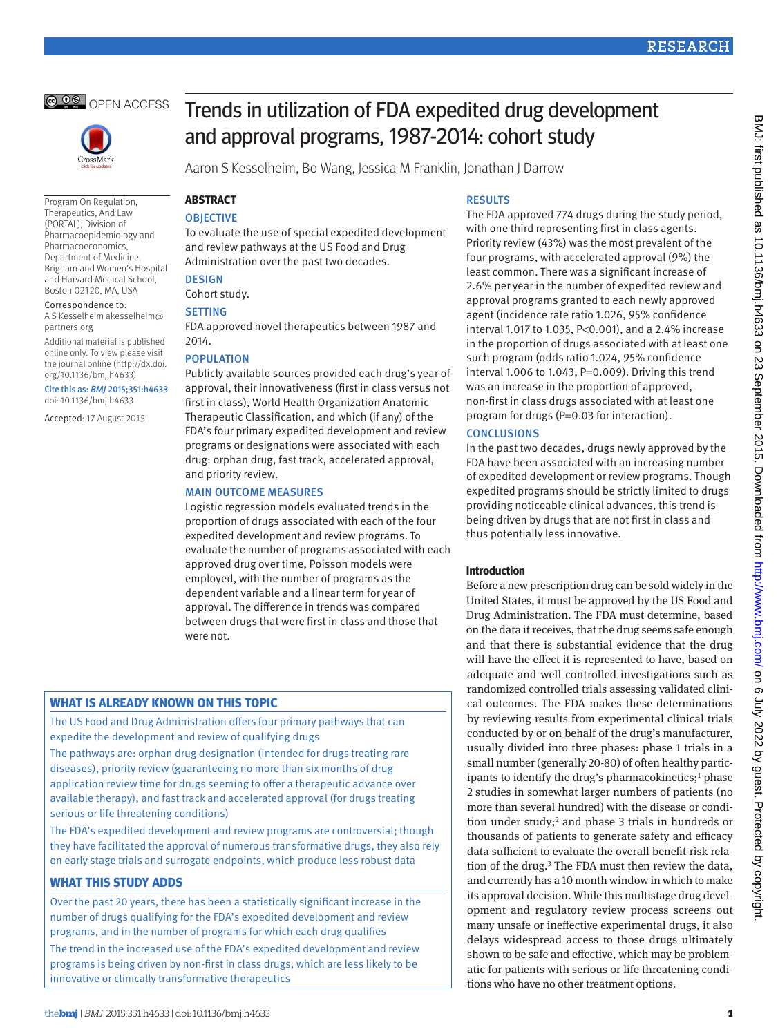



Program On Regulation, Therapeutics, And Law (PORTAL), Division of Pharmacoepidemiology and Pharmacoeconomics, Department of Medicine, Brigham and Women's Hospital and Harvard Medical School, Boston 02120, MA, USA

Correspondence to: A S Kesselheim akesselheim@ partners.org

Additional material is published online only. To view please visit the journal online (http://dx.doi. org/10.1136/bmj.h4633)

#### Cite this as: *BMJ* 2015;351:h4633 doi: 10.1136/bmj.h4633

Accepted: 17 August 2015

# Trends in utilization of FDA expedited drug development and approval programs, 1987-2014: cohort study

Aaron S Kesselheim, Bo Wang, Jessica M Franklin, Jonathan J Darrow

# **ABSTRACT**

# **OBJECTIVE**

To evaluate the use of special expedited development and review pathways at the US Food and Drug Administration over the past two decades.

# **DESIGN**

Cohort study.

#### **SETTING**

FDA approved novel therapeutics between 1987 and 2014.

#### **POPULATION**

Publicly available sources provided each drug's year of approval, their innovativeness (first in class versus not first in class), World Health Organization Anatomic Therapeutic Classification, and which (if any) of the FDA's four primary expedited development and review programs or designations were associated with each drug: orphan drug, fast track, accelerated approval, and priority review.

#### **MAIN OUTCOME MEASURES**

Logistic regression models evaluated trends in the proportion of drugs associated with each of the four expedited development and review programs. To evaluate the number of programs associated with each approved drug over time, Poisson models were employed, with the number of programs as the dependent variable and a linear term for year of approval. The difference in trends was compared between drugs that were first in class and those that were not.

# **What is already known on this topic**

The US Food and Drug Administration offers four primary pathways that can expedite the development and review of qualifying drugs

The pathways are: orphan drug designation (intended for drugs treating rare diseases), priority review (guaranteeing no more than six months of drug application review time for drugs seeming to offer a therapeutic advance over available therapy), and fast track and accelerated approval (for drugs treating serious or life threatening conditions)

The FDA's expedited development and review programs are controversial; though they have facilitated the approval of numerous transformative drugs, they also rely on early stage trials and surrogate endpoints, which produce less robust data

# **What this study adds**

Over the past 20 years, there has been a statistically significant increase in the number of drugs qualifying for the FDA's expedited development and review programs, and in the number of programs for which each drug qualifies

The trend in the increased use of the FDA's expedited development and review programs is being driven by non-first in class drugs, which are less likely to be innovative or clinically transformative therapeutics

# **RESULTS**

The FDA approved 774 drugs during the study period, with one third representing first in class agents. Priority review (43%) was the most prevalent of the four programs, with accelerated approval (9%) the least common. There was a significant increase of 2.6% per year in the number of expedited review and approval programs granted to each newly approved agent (incidence rate ratio 1.026, 95% confidence interval 1.017 to 1.035, P<0.001), and a 2.4% increase in the proportion of drugs associated with at least one such program (odds ratio 1.024, 95% confidence interval 1.006 to 1.043, P=0.009). Driving this trend was an increase in the proportion of approved, non-first in class drugs associated with at least one program for drugs (P=0.03 for interaction).

#### **CONCLUSIONS**

In the past two decades, drugs newly approved by the FDA have been associated with an increasing number of expedited development or review programs. Though expedited programs should be strictly limited to drugs providing noticeable clinical advances, this trend is being driven by drugs that are not first in class and thus potentially less innovative.

#### **Introduction**

Before a new prescription drug can be sold widely in the United States, it must be approved by the US Food and Drug Administration. The FDA must determine, based on the data it receives, that the drug seems safe enough and that there is substantial evidence that the drug will have the effect it is represented to have, based on adequate and well controlled investigations such as randomized controlled trials assessing validated clinical outcomes. The FDA makes these determinations by reviewing results from experimental clinical trials conducted by or on behalf of the drug's manufacturer, usually divided into three phases: phase 1 trials in a small number (generally 20-80) of often healthy participants to identify the drug's pharmacokinetics;<sup>1</sup> phase 2 studies in somewhat larger numbers of patients (no more than several hundred) with the disease or condition under study;<sup>2</sup> and phase 3 trials in hundreds or thousands of patients to generate safety and efficacy data sufficient to evaluate the overall benefit-risk relation of the drug[.3](#page-6-2) The FDA must then review the data, and currently has a 10 month window in which to make its approval decision. While this multistage drug development and regulatory review process screens out many unsafe or ineffective experimental drugs, it also delays widespread access to those drugs ultimately shown to be safe and effective, which may be problematic for patients with serious or life threatening conditions who have no other treatment options.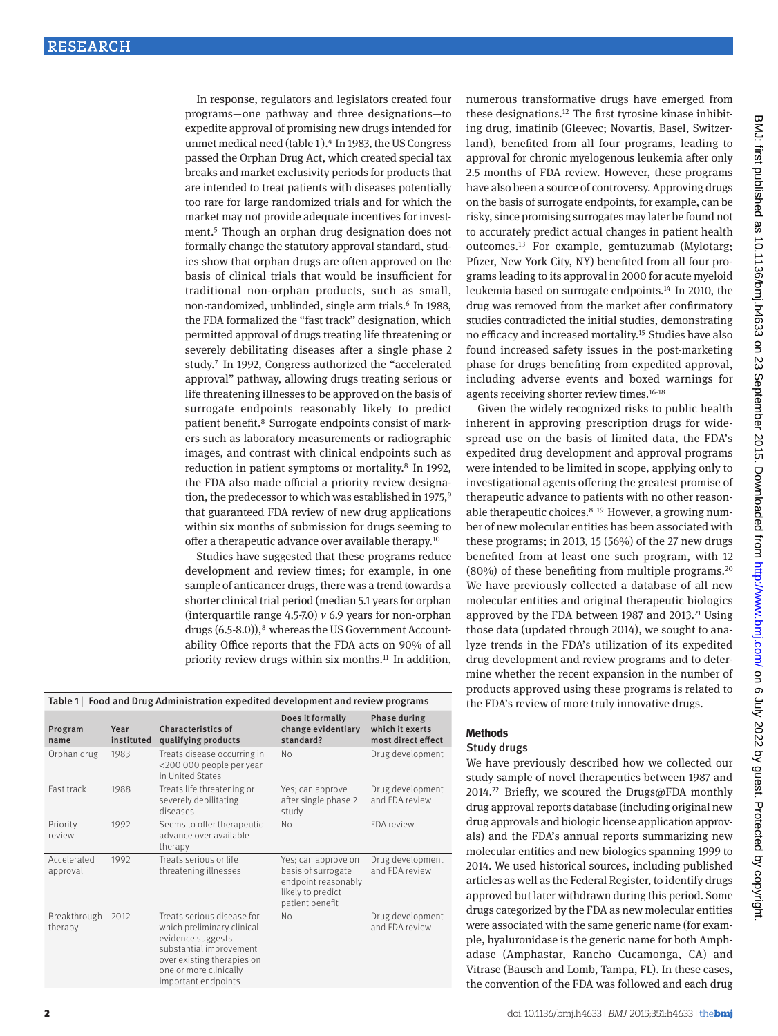In response, regulators and legislators created four programs—one pathway and three designations—to expedite approval of promising new drugs intended for unmet medical need (table 1 )[.4](#page-6-3) In 1983, the US Congress passed the Orphan Drug Act, which created special tax breaks and market exclusivity periods for products that are intended to treat patients with diseases potentially too rare for large randomized trials and for which the market may not provide adequate incentives for investment.[5](#page-6-4) Though an orphan drug designation does not formally change the statutory approval standard, studies show that orphan drugs are often approved on the basis of clinical trials that would be insufficient for traditional non-orphan products, such as small, non-randomized, unblinded, single arm trials.<sup>[6](#page-6-5)</sup> In 1988, the FDA formalized the "fast track" designation, which permitted approval of drugs treating life threatening or severely debilitating diseases after a single phase 2 study[.7](#page-6-6) In 1992, Congress authorized the "accelerated approval" pathway, allowing drugs treating serious or life threatening illnesses to be approved on the basis of surrogate endpoints reasonably likely to predict patient benefit.<sup>[8](#page-6-7)</sup> Surrogate endpoints consist of markers such as laboratory measurements or radiographic images, and contrast with clinical endpoints such as reduction in patient symptoms or mortality[.8](#page-6-7) In 1992, the FDA also made official a priority review designa-tion, the predecessor to which was established in 1[9](#page-6-8)75,<sup>9</sup> that guaranteed FDA review of new drug applications within six months of submission for drugs seeming to offer a therapeutic advance over available therapy[.10](#page-6-9)

Studies have suggested that these programs reduce development and review times; for example, in one sample of anticancer drugs, there was a trend towards a shorter clinical trial period (median 5.1 years for orphan (interquartile range 4.5-7.0) *v* 6.9 years for non-orphan drugs  $(6.5-8.0)$ ,  $8$  whereas the US Government Accountability Office reports that the FDA acts on 90% of all priority review drugs within six months[.11](#page-6-10) In addition,

| Table 1   Food and Drug Administration expedited development and review programs |                    |                                                                                                                                                                                         |                                                                                                          |                                                              |  |
|----------------------------------------------------------------------------------|--------------------|-----------------------------------------------------------------------------------------------------------------------------------------------------------------------------------------|----------------------------------------------------------------------------------------------------------|--------------------------------------------------------------|--|
| Program<br>name                                                                  | Year<br>instituted | <b>Characteristics of</b><br>qualifying products                                                                                                                                        | Does it formally<br>change evidentiary<br>standard?                                                      | <b>Phase during</b><br>which it exerts<br>most direct effect |  |
| Orphan drug                                                                      | 1983               | Treats disease occurring in<br><200 000 people per year<br>in United States                                                                                                             | No                                                                                                       | Drug development                                             |  |
| Fast track                                                                       | 1988               | Treats life threatening or<br>severely debilitating<br>diseases                                                                                                                         | Yes; can approve<br>after single phase 2<br>study                                                        | Drug development<br>and FDA review                           |  |
| Priority<br>review                                                               | 1992               | Seems to offer therapeutic<br>advance over available<br>therapy                                                                                                                         | No                                                                                                       | FDA review                                                   |  |
| Accelerated<br>approval                                                          | 1992               | Treats serious or life<br>threatening illnesses                                                                                                                                         | Yes; can approve on<br>basis of surrogate<br>endpoint reasonably<br>likely to predict<br>patient benefit | Drug development<br>and FDA review                           |  |
| Breakthrough<br>therapy                                                          | 2012               | Treats serious disease for<br>which preliminary clinical<br>evidence suggests<br>substantial improvement<br>over existing therapies on<br>one or more clinically<br>important endpoints | No                                                                                                       | Drug development<br>and FDA review                           |  |

numerous transformative drugs have emerged from these designations.[12](#page-6-11) The first tyrosine kinase inhibiting drug, imatinib (Gleevec; Novartis, Basel, Switzerland), benefited from all four programs, leading to approval for chronic myelogenous leukemia after only 2.5 months of FDA review. However, these programs have also been a source of controversy. Approving drugs on the basis of surrogate endpoints, for example, can be risky, since promising surrogates may later be found not to accurately predict actual changes in patient health outcomes.[13](#page-6-12) For example, gemtuzumab (Mylotarg; Pfizer, New York City, NY) benefited from all four programs leading to its approval in 2000 for acute myeloid leukemia based on surrogate endpoints[.14](#page-6-13) In 2010, the drug was removed from the market after confirmatory studies contradicted the initial studies, demonstrating no efficacy and increased mortality[.15](#page-6-14) Studies have also found increased safety issues in the post-marketing phase for drugs benefiting from expedited approval, including adverse events and boxed warnings for agents receiving shorter review times[.16](#page-6-15)[-18](#page-6-16)

Given the widely recognized risks to public health inherent in approving prescription drugs for widespread use on the basis of limited data, the FDA's expedited drug development and approval programs were intended to be limited in scope, applying only to investigational agents offering the greatest promise of therapeutic advance to patients with no other reason-able therapeutic choices.<sup>8 [19](#page-6-17)</sup> However, a growing number of new molecular entities has been associated with these programs; in 2013, 15 (56%) of the 27 new drugs benefited from at least one such program, with 12 (80%) of these benefiting from multiple programs[.20](#page-6-18) We have previously collected a database of all new molecular entities and original therapeutic biologics approved by the FDA between 1987 and 2013.<sup>21</sup> Using those data (updated through 2014), we sought to analyze trends in the FDA's utilization of its expedited drug development and review programs and to determine whether the recent expansion in the number of products approved using these programs is related to the FDA's review of more truly innovative drugs.

#### **Methods** Study drugs

We have previously described how we collected our study sample of novel therapeutics between 1987 and 2014.[22](#page-6-20) Briefly, we scoured the Drugs@FDA monthly drug approval reports database (including original new drug approvals and biologic license application approvals) and the FDA's annual reports summarizing new molecular entities and new biologics spanning 1999 to 2014. We used historical sources, including published articles as well as the Federal Register, to identify drugs approved but later withdrawn during this period. Some drugs categorized by the FDA as new molecular entities were associated with the same generic name (for example, hyaluronidase is the generic name for both Amphadase (Amphastar, Rancho Cucamonga, CA) and Vitrase (Bausch and Lomb, Tampa, FL). In these cases, the convention of the FDA was followed and each drug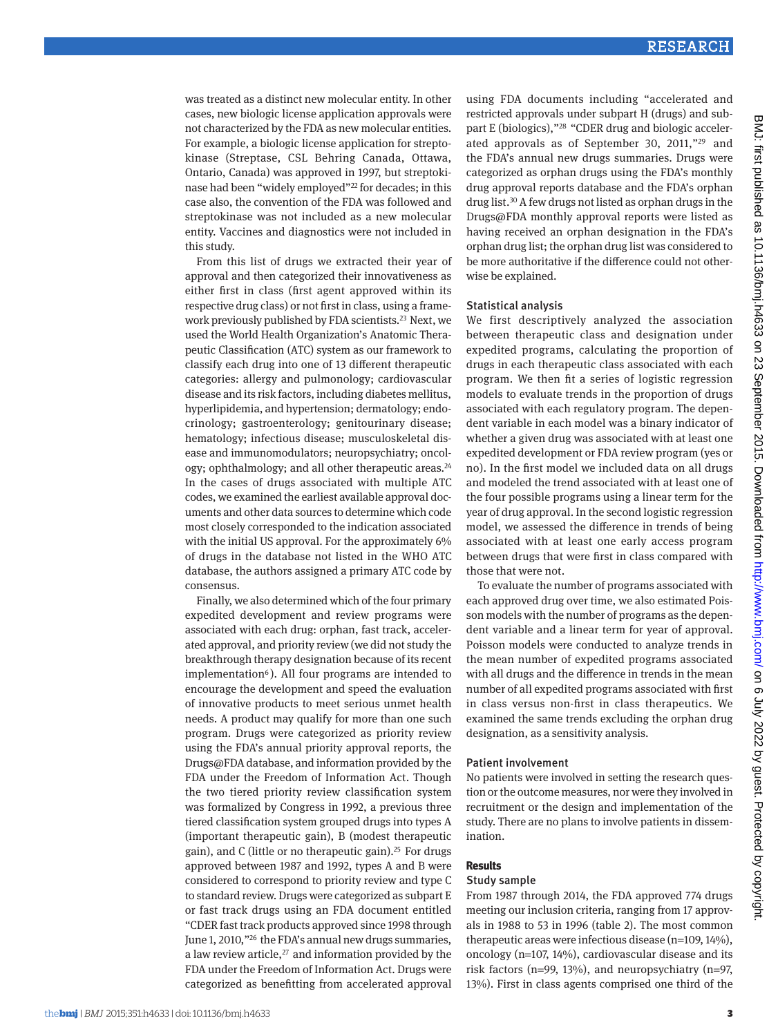was treated as a distinct new molecular entity. In other cases, new biologic license application approvals were not characterized by the FDA as new molecular entities. For example, a biologic license application for streptokinase (Streptase, CSL Behring Canada, Ottawa, Ontario, Canada) was approved in 1997, but streptokinase had been "widely employed"[22](#page-6-20) for decades; in this case also, the convention of the FDA was followed and streptokinase was not included as a new molecular entity. Vaccines and diagnostics were not included in this study.

From this list of drugs we extracted their year of approval and then categorized their innovativeness as either first in class (first agent approved within its respective drug class) or not first in class, using a framework previously published by FDA scientists.<sup>23</sup> Next, we used the World Health Organization's Anatomic Therapeutic Classification (ATC) system as our framework to classify each drug into one of 13 different therapeutic categories: allergy and pulmonology; cardiovascular disease and its risk factors, including diabetes mellitus, hyperlipidemia, and hypertension; dermatology; endocrinology; gastroenterology; genitourinary disease; hematology; infectious disease; musculoskeletal disease and immunomodulators; neuropsychiatry; oncology; ophthalmology; and all other therapeutic areas.<sup>24</sup> In the cases of drugs associated with multiple ATC codes, we examined the earliest available approval documents and other data sources to determine which code most closely corresponded to the indication associated with the initial US approval. For the approximately 6% of drugs in the database not listed in the WHO ATC database, the authors assigned a primary ATC code by consensus.

Finally, we also determined which of the four primary expedited development and review programs were associated with each drug: orphan, fast track, accelerated approval, and priority review (we did not study the breakthrough therapy designation because of its recent implementation<sup>[6](#page-6-5)</sup>). All four programs are intended to encourage the development and speed the evaluation of innovative products to meet serious unmet health needs. A product may qualify for more than one such program. Drugs were categorized as priority review using the FDA's annual priority approval reports, the Drugs@FDA database, and information provided by the FDA under the Freedom of Information Act. Though the two tiered priority review classification system was formalized by Congress in 1992, a previous three tiered classification system grouped drugs into types A (important therapeutic gain), B (modest therapeutic gain), and C (little or no therapeutic gain).<sup>[25](#page-6-23)</sup> For drugs approved between 1987 and 1992, types A and B were considered to correspond to priority review and type C to standard review. Drugs were categorized as subpart E or fast track drugs using an FDA document entitled "CDER fast track products approved since 1998 through June 1, 2010,["26](#page-6-24) the FDA's annual new drugs summaries, a law review article, $27$  and information provided by the FDA under the Freedom of Information Act. Drugs were categorized as benefitting from accelerated approval using FDA documents including "accelerated and restricted approvals under subpart H (drugs) and subpart E (biologics),["28](#page-6-26) "CDER drug and biologic accelerated approvals as of September 30, 2011,"[29](#page-6-27) and the FDA's annual new drugs summaries. Drugs were categorized as orphan drugs using the FDA's monthly drug approval reports database and the FDA's orphan drug list[.30](#page-6-28) A few drugs not listed as orphan drugs in the Drugs@FDA monthly approval reports were listed as having received an orphan designation in the FDA's orphan drug list; the orphan drug list was considered to be more authoritative if the difference could not otherwise be explained.

#### Statistical analysis

We first descriptively analyzed the association between therapeutic class and designation under expedited programs, calculating the proportion of drugs in each therapeutic class associated with each program. We then fit a series of logistic regression models to evaluate trends in the proportion of drugs associated with each regulatory program. The dependent variable in each model was a binary indicator of whether a given drug was associated with at least one expedited development or FDA review program (yes or no). In the first model we included data on all drugs and modeled the trend associated with at least one of the four possible programs using a linear term for the year of drug approval. In the second logistic regression model, we assessed the difference in trends of being associated with at least one early access program between drugs that were first in class compared with those that were not.

To evaluate the number of programs associated with each approved drug over time, we also estimated Poisson models with the number of programs as the dependent variable and a linear term for year of approval. Poisson models were conducted to analyze trends in the mean number of expedited programs associated with all drugs and the difference in trends in the mean number of all expedited programs associated with first in class versus non-first in class therapeutics. We examined the same trends excluding the orphan drug designation, as a sensitivity analysis.

#### Patient involvement

No patients were involved in setting the research question or the outcome measures, nor were they involved in recruitment or the design and implementation of the study. There are no plans to involve patients in dissemination.

#### **Results**

#### Study sample

From 1987 through 2014, the FDA approved 774 drugs meeting our inclusion criteria, ranging from 17 approvals in 1988 to 53 in 1996 (table 2). The most common therapeutic areas were infectious disease (n=109, 14%), oncology (n=107, 14%), cardiovascular disease and its risk factors (n=99, 13%), and neuropsychiatry (n=97, 13%). First in class agents comprised one third of the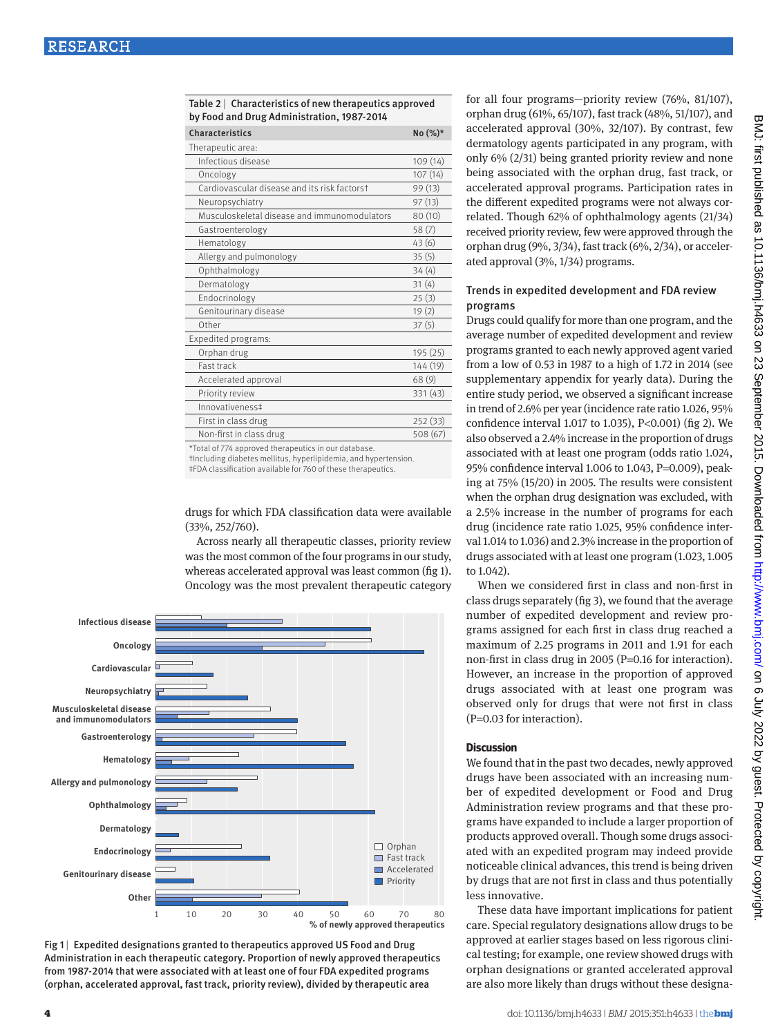Table 2 | Characteristics of new therapeutics approved by Food and Drug Administration, 1987-2014

| Characteristics                              | No (%)*  |
|----------------------------------------------|----------|
| Therapeutic area:                            |          |
| Infectious disease                           | 109 (14) |
| Oncology                                     | 107(14)  |
| Cardiovascular disease and its risk factorst | 99 (13)  |
| Neuropsychiatry                              | 97 (13)  |
| Musculoskeletal disease and immunomodulators | 80 (10)  |
| Gastroenterology                             | 58(7)    |
| Hematology                                   | 43(6)    |
| Allergy and pulmonology                      | 35(5)    |
| Ophthalmology                                | 34(4)    |
| Dermatology                                  | 31(4)    |
| Endocrinology                                | 25(3)    |
| Genitourinary disease                        | 19(2)    |
| Other                                        | 37(5)    |
| Expedited programs:                          |          |
| Orphan drug                                  | 195 (25) |
| <b>Fast track</b>                            | 144 (19) |
| Accelerated approval                         | 68 (9)   |
| Priority review                              | 331 (43) |
| Innovativeness‡                              |          |
| First in class drug                          | 252 (33) |
| Non-first in class drug                      | 508 (67) |
|                                              |          |

\*Total of 774 approved therapeutics in our database. †Including diabetes mellitus, hyperlipidemia, and hypertension.

‡FDA classification available for 760 of these therapeutics.

drugs for which FDA classification data were available (33%, 252/760).

Across nearly all therapeutic classes, priority review was the most common of the four programs in our study, whereas accelerated approval was least common (fig 1). Oncology was the most prevalent therapeutic category



Fig 1 | Expedited designations granted to therapeutics approved US Food and Drug Administration in each therapeutic category. Proportion of newly approved therapeutics from 1987-2014 that were associated with at least one of four FDA expedited programs (orphan, accelerated approval, fast track, priority review), divided by therapeutic area

for all four programs—priority review (76%, 81/107), orphan drug (61%, 65/107), fast track (48%, 51/107), and accelerated approval (30%, 32/107). By contrast, few dermatology agents participated in any program, with only 6% (2/31) being granted priority review and none being associated with the orphan drug, fast track, or accelerated approval programs. Participation rates in the different expedited programs were not always correlated. Though 62% of ophthalmology agents (21/34) received priority review, few were approved through the orphan drug (9%, 3/34), fast track (6%, 2/34), or accelerated approval (3%, 1/34) programs.

#### Trends in expedited development and FDA review programs

Drugs could qualify for more than one program, and the average number of expedited development and review programs granted to each newly approved agent varied from a low of 0.53 in 1987 to a high of 1.72 in 2014 (see supplementary appendix for yearly data). During the entire study period, we observed a significant increase in trend of 2.6% per year (incidence rate ratio 1.026, 95% confidence interval 1.017 to 1.035), P<0.001) (fig 2). We also observed a 2.4% increase in the proportion of drugs associated with at least one program (odds ratio 1.024, 95% confidence interval 1.006 to 1.043, P=0.009), peaking at 75% (15/20) in 2005. The results were consistent when the orphan drug designation was excluded, with a 2.5% increase in the number of programs for each drug (incidence rate ratio 1.025, 95% confidence interval 1.014 to 1.036) and 2.3% increase in the proportion of drugs associated with at least one program (1.023, 1.005 to 1.042).

When we considered first in class and non-first in class drugs separately (fig 3), we found that the average number of expedited development and review programs assigned for each first in class drug reached a maximum of 2.25 programs in 2011 and 1.91 for each non-first in class drug in 2005 (P=0.16 for interaction). However, an increase in the proportion of approved drugs associated with at least one program was observed only for drugs that were not first in class (P=0.03 for interaction).

#### **Discussion**

We found that in the past two decades, newly approved drugs have been associated with an increasing number of expedited development or Food and Drug Administration review programs and that these programs have expanded to include a larger proportion of products approved overall. Though some drugs associated with an expedited program may indeed provide noticeable clinical advances, this trend is being driven by drugs that are not first in class and thus potentially less innovative.

These data have important implications for patient care. Special regulatory designations allow drugs to be approved at earlier stages based on less rigorous clinical testing; for example, one review showed drugs with orphan designations or granted accelerated approval are also more likely than drugs without these designa-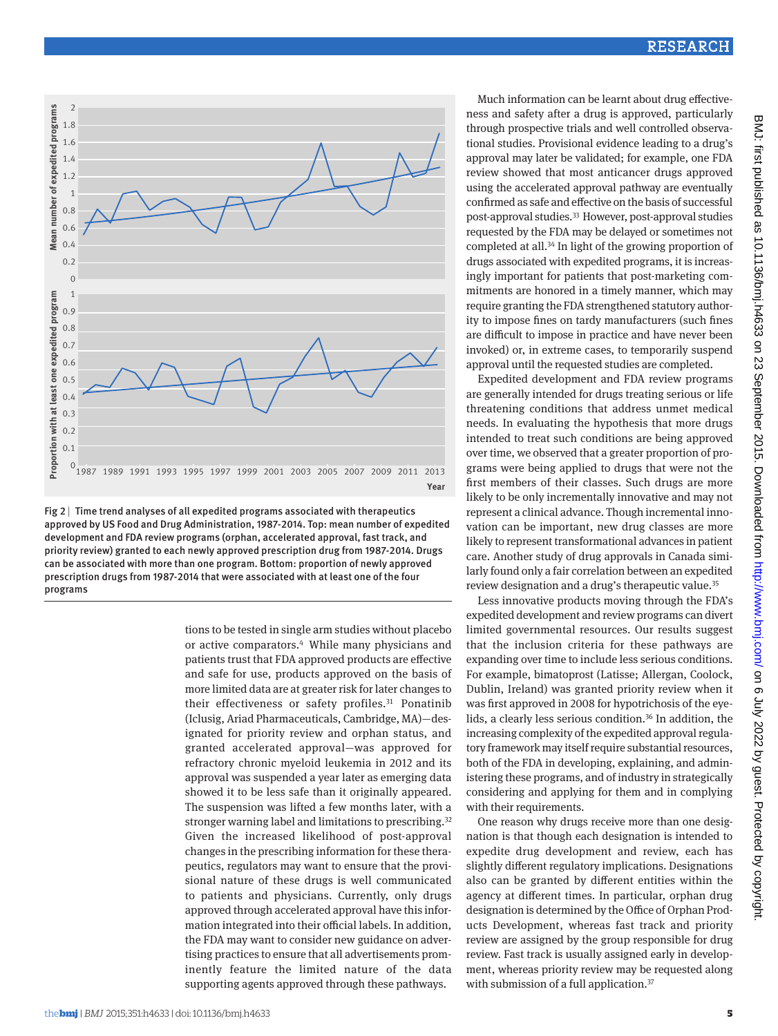



tions to be tested in single arm studies without placebo or active comparators[.4](#page-6-3) While many physicians and patients trust that FDA approved products are effective and safe for use, products approved on the basis of more limited data are at greater risk for later changes to their effectiveness or safety profiles.<sup>[31](#page-6-29)</sup> Ponatinib (Iclusig, Ariad Pharmaceuticals, Cambridge, MA)—designated for priority review and orphan status, and granted accelerated approval—was approved for refractory chronic myeloid leukemia in 2012 and its approval was suspended a year later as emerging data showed it to be less safe than it originally appeared. The suspension was lifted a few months later, with a stronger warning label and limitations to prescribing.<sup>[32](#page-6-30)</sup> Given the increased likelihood of post-approval changes in the prescribing information for these therapeutics, regulators may want to ensure that the provisional nature of these drugs is well communicated to patients and physicians. Currently, only drugs approved through accelerated approval have this information integrated into their official labels. In addition, the FDA may want to consider new guidance on advertising practices to ensure that all advertisements prominently feature the limited nature of the data supporting agents approved through these pathways.

Much information can be learnt about drug effectiveness and safety after a drug is approved, particularly through prospective trials and well controlled observational studies. Provisional evidence leading to a drug's approval may later be validated; for example, one FDA review showed that most anticancer drugs approved using the accelerated approval pathway are eventually confirmed as safe and effective on the basis of successful post-approval studies[.33](#page-6-31) However, post-approval studies requested by the FDA may be delayed or sometimes not completed at all[.34](#page-6-32) In light of the growing proportion of drugs associated with expedited programs, it is increasingly important for patients that post-marketing commitments are honored in a timely manner, which may require granting the FDA strengthened statutory authority to impose fines on tardy manufacturers (such fines are difficult to impose in practice and have never been invoked) or, in extreme cases, to temporarily suspend approval until the requested studies are completed.

Expedited development and FDA review programs are generally intended for drugs treating serious or life threatening conditions that address unmet medical needs. In evaluating the hypothesis that more drugs intended to treat such conditions are being approved over time, we observed that a greater proportion of programs were being applied to drugs that were not the first members of their classes. Such drugs are more likely to be only incrementally innovative and may not represent a clinical advance. Though incremental innovation can be important, new drug classes are more likely to represent transformational advances in patient care. Another study of drug approvals in Canada similarly found only a fair correlation between an expedited review designation and a drug's therapeutic value[.35](#page-6-33)

Less innovative products moving through the FDA's expedited development and review programs can divert limited governmental resources. Our results suggest that the inclusion criteria for these pathways are expanding over time to include less serious conditions. For example, bimatoprost (Latisse; Allergan, Coolock, Dublin, Ireland) was granted priority review when it was first approved in 2008 for hypotrichosis of the eyelids, a clearly less serious condition.<sup>36</sup> In addition, the increasing complexity of the expedited approval regulatory framework may itself require substantial resources, both of the FDA in developing, explaining, and administering these programs, and of industry in strategically considering and applying for them and in complying with their requirements.

One reason why drugs receive more than one designation is that though each designation is intended to expedite drug development and review, each has slightly different regulatory implications. Designations also can be granted by different entities within the agency at different times. In particular, orphan drug designation is determined by the Office of Orphan Products Development, whereas fast track and priority review are assigned by the group responsible for drug review. Fast track is usually assigned early in development, whereas priority review may be requested along with submission of a full application.<sup>[37](#page-6-35)</sup>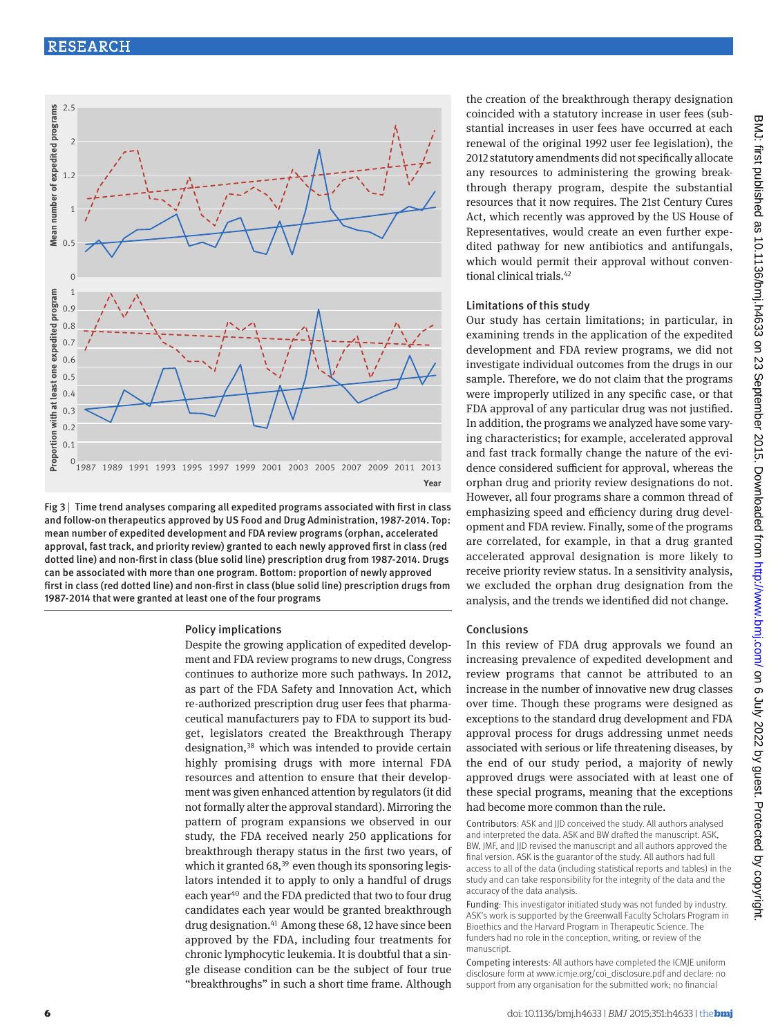



#### Policy implications

Despite the growing application of expedited development and FDA review programs to new drugs, Congress continues to authorize more such pathways. In 2012, as part of the FDA Safety and Innovation Act, which re-authorized prescription drug user fees that pharmaceutical manufacturers pay to FDA to support its budget, legislators created the Breakthrough Therapy designation[,38](#page-6-36) which was intended to provide certain highly promising drugs with more internal FDA resources and attention to ensure that their development was given enhanced attention by regulators (it did not formally alter the approval standard). Mirroring the pattern of program expansions we observed in our study, the FDA received nearly 250 applications for breakthrough therapy status in the first two years, of which it granted  $68<sup>39</sup>$  $68<sup>39</sup>$  $68<sup>39</sup>$  even though its sponsoring legislators intended it to apply to only a handful of drugs each year<sup>40</sup> and the FDA predicted that two to four drug candidates each year would be granted breakthrough drug designation.<sup>41</sup> Among these 68, 12 have since been approved by the FDA, including four treatments for chronic lymphocytic leukemia. It is doubtful that a single disease condition can be the subject of four true "breakthroughs" in such a short time frame. Although the creation of the breakthrough therapy designation coincided with a statutory increase in user fees (substantial increases in user fees have occurred at each renewal of the original 1992 user fee legislation), the 2012 statutory amendments did not specifically allocate any resources to administering the growing breakthrough therapy program, despite the substantial resources that it now requires. The 21st Century Cures Act, which recently was approved by the US House of Representatives, would create an even further expedited pathway for new antibiotics and antifungals, which would permit their approval without conventional clinical trials.[42](#page-6-40)

### Limitations of this study

Our study has certain limitations; in particular, in examining trends in the application of the expedited development and FDA review programs, we did not investigate individual outcomes from the drugs in our sample. Therefore, we do not claim that the programs were improperly utilized in any specific case, or that FDA approval of any particular drug was not justified. In addition, the programs we analyzed have some varying characteristics; for example, accelerated approval and fast track formally change the nature of the evidence considered sufficient for approval, whereas the orphan drug and priority review designations do not. However, all four programs share a common thread of emphasizing speed and efficiency during drug development and FDA review. Finally, some of the programs are correlated, for example, in that a drug granted accelerated approval designation is more likely to receive priority review status. In a sensitivity analysis, we excluded the orphan drug designation from the analysis, and the trends we identified did not change.

#### Conclusions

In this review of FDA drug approvals we found an increasing prevalence of expedited development and review programs that cannot be attributed to an increase in the number of innovative new drug classes over time. Though these programs were designed as exceptions to the standard drug development and FDA approval process for drugs addressing unmet needs associated with serious or life threatening diseases, by the end of our study period, a majority of newly approved drugs were associated with at least one of these special programs, meaning that the exceptions had become more common than the rule.

Contributors: ASK and JJD conceived the study. All authors analysed and interpreted the data. ASK and BW drafted the manuscript. ASK, BW, JMF, and JJD revised the manuscript and all authors approved the final version. ASK is the guarantor of the study. All authors had full access to all of the data (including statistical reports and tables) in the study and can take responsibility for the integrity of the data and the accuracy of the data analysis.

Funding: This investigator initiated study was not funded by industry. ASK's work is supported by the Greenwall Faculty Scholars Program in Bioethics and the Harvard Program in Therapeutic Science. The funders had no role in the conception, writing, or review of the manuscript.

Competing interests: All authors have completed the ICMJE uniform disclosure form at [www.icmje.org/coi\\_disclosure.pdf](http://www.icmje.org/coi_disclosure.pdf) and declare: no support from any organisation for the submitted work; no financial